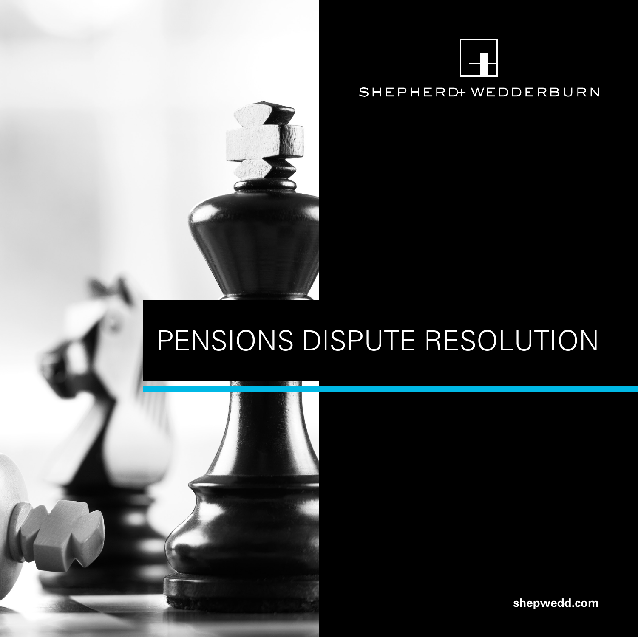



# PENSIONS DISPUTE RESOLUTION

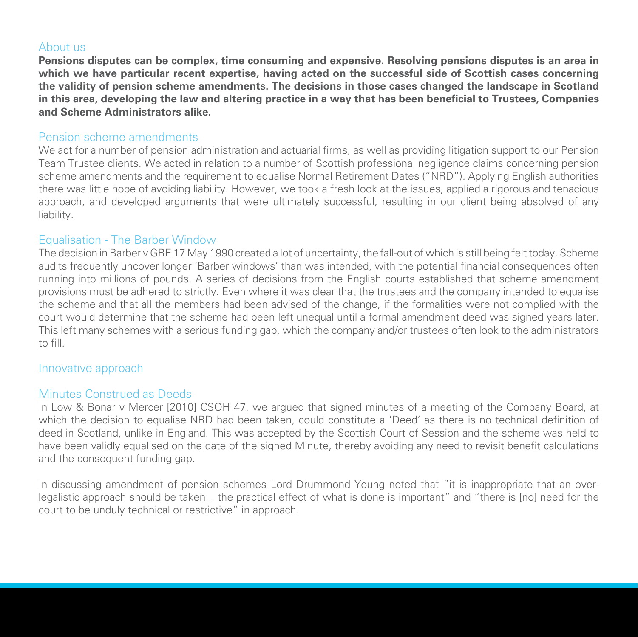#### About us

**Pensions disputes can be complex, time consuming and expensive. Resolving pensions disputes is an area in which we have particular recent expertise, having acted on the successful side of Scottish cases concerning the validity of pension scheme amendments. The decisions in those cases changed the landscape in Scotland in this area, developing the law and altering practice in a way that has been beneficial to Trustees, Companies and Scheme Administrators alike.** 

#### Pension scheme amendments

We act for a number of pension administration and actuarial firms, as well as providing litigation support to our Pension Team Trustee clients. We acted in relation to a number of Scottish professional negligence claims concerning pension scheme amendments and the requirement to equalise Normal Retirement Dates ("NRD"). Applying English authorities there was little hope of avoiding liability. However, we took a fresh look at the issues, applied a rigorous and tenacious approach, and developed arguments that were ultimately successful, resulting in our client being absolved of any liability.

#### Equalisation - The Barber Window

The decision in Barber v GRE 17 May 1990 created a lot of uncertainty, the fall-out of which is still being felt today. Scheme audits frequently uncover longer 'Barber windows' than was intended, with the potential financial consequences often running into millions of pounds. A series of decisions from the English courts established that scheme amendment provisions must be adhered to strictly. Even where it was clear that the trustees and the company intended to equalise the scheme and that all the members had been advised of the change, if the formalities were not complied with the court would determine that the scheme had been left unequal until a formal amendment deed was signed years later. This left many schemes with a serious funding gap, which the company and/or trustees often look to the administrators to fill.

#### Innovative approach

#### Minutes Construed as Deeds

In Low & Bonar v Mercer [2010] CSOH 47, we argued that signed minutes of a meeting of the Company Board, at which the decision to equalise NRD had been taken, could constitute a 'Deed' as there is no technical definition of deed in Scotland, unlike in England. This was accepted by the Scottish Court of Session and the scheme was held to have been validly equalised on the date of the signed Minute, thereby avoiding any need to revisit benefit calculations and the consequent funding gap.

In discussing amendment of pension schemes Lord Drummond Young noted that "it is inappropriate that an overlegalistic approach should be taken... the practical effect of what is done is important" and "there is [no] need for the court to be unduly technical or restrictive" in approach.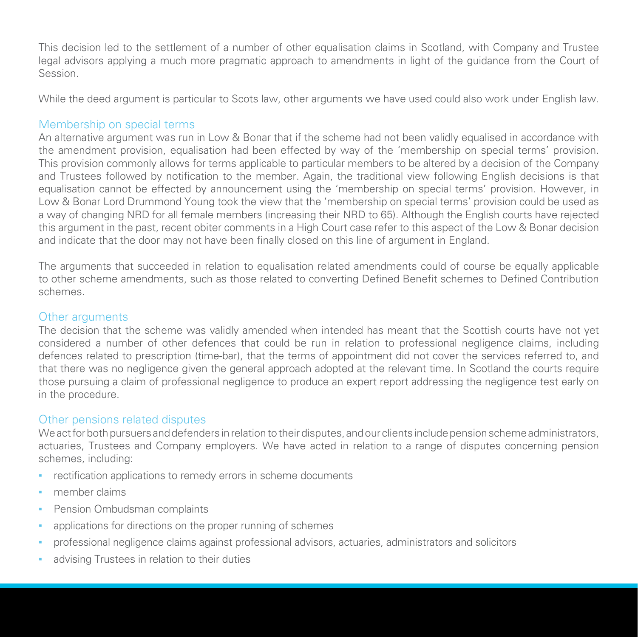This decision led to the settlement of a number of other equalisation claims in Scotland, with Company and Trustee legal advisors applying a much more pragmatic approach to amendments in light of the guidance from the Court of Session.

While the deed argument is particular to Scots law, other arguments we have used could also work under English law.

#### Membership on special terms

An alternative argument was run in Low & Bonar that if the scheme had not been validly equalised in accordance with the amendment provision, equalisation had been effected by way of the 'membership on special terms' provision. This provision commonly allows for terms applicable to particular members to be altered by a decision of the Company and Trustees followed by notification to the member. Again, the traditional view following English decisions is that equalisation cannot be effected by announcement using the 'membership on special terms' provision. However, in Low & Bonar Lord Drummond Young took the view that the 'membership on special terms' provision could be used as a way of changing NRD for all female members (increasing their NRD to 65). Although the English courts have rejected this argument in the past, recent obiter comments in a High Court case refer to this aspect of the Low & Bonar decision and indicate that the door may not have been finally closed on this line of argument in England.

The arguments that succeeded in relation to equalisation related amendments could of course be equally applicable to other scheme amendments, such as those related to converting Defined Benefit schemes to Defined Contribution schemes.

#### Other arguments

The decision that the scheme was validly amended when intended has meant that the Scottish courts have not yet considered a number of other defences that could be run in relation to professional negligence claims, including defences related to prescription (time-bar), that the terms of appointment did not cover the services referred to, and that there was no negligence given the general approach adopted at the relevant time. In Scotland the courts require those pursuing a claim of professional negligence to produce an expert report addressing the negligence test early on in the procedure.

#### Other pensions related disputes

We act for both pursuers and defenders in relation to their disputes, and our clients include pension scheme administrators, actuaries, Trustees and Company employers. We have acted in relation to a range of disputes concerning pension schemes, including:

- **•** rectification applications to remedy errors in scheme documents
- **▪** member claims
- **Pension Ombudsman complaints**
- applications for directions on the proper running of schemes
- professional negligence claims against professional advisors, actuaries, administrators and solicitors
- advising Trustees in relation to their duties